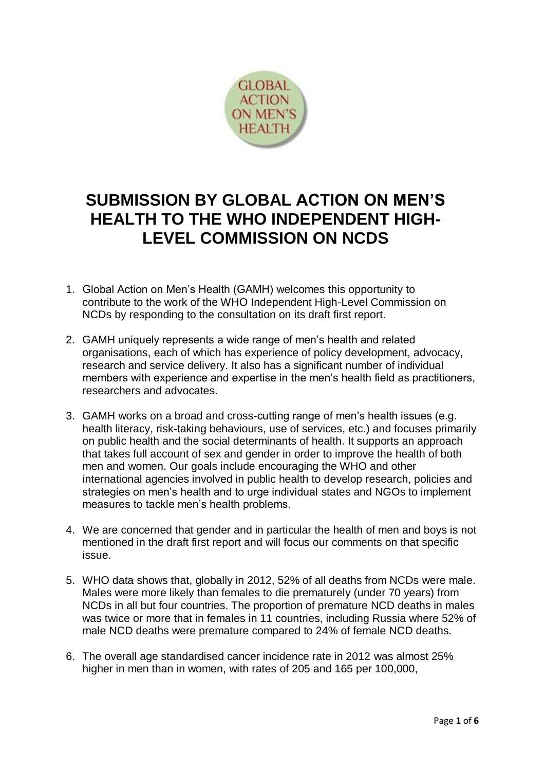

## **SUBMISSION BY GLOBAL ACTION ON MEN'S HEALTH TO THE WHO INDEPENDENT HIGH-LEVEL COMMISSION ON NCDS**

- 1. Global Action on Men's Health (GAMH) welcomes this opportunity to contribute to the work of the WHO Independent High-Level Commission on NCDs by responding to the consultation on its draft first report.
- 2. GAMH uniquely represents a wide range of men's health and related organisations, each of which has experience of policy development, advocacy, research and service delivery. It also has a significant number of individual members with experience and expertise in the men's health field as practitioners, researchers and advocates.
- 3. GAMH works on a broad and cross-cutting range of men's health issues (e.g. health literacy, risk-taking behaviours, use of services, etc.) and focuses primarily on public health and the social determinants of health. It supports an approach that takes full account of sex and gender in order to improve the health of both men and women. Our goals include encouraging the WHO and other international agencies involved in public health to develop research, policies and strategies on men's health and to urge individual states and NGOs to implement measures to tackle men's health problems.
- 4. We are concerned that gender and in particular the health of men and boys is not mentioned in the draft first report and will focus our comments on that specific issue.
- 5. WHO data shows that, globally in 2012, 52% of all deaths from NCDs were male. Males were more likely than females to die prematurely (under 70 years) from NCDs in all but four countries. The proportion of premature NCD deaths in males was twice or more that in females in 11 countries, including Russia where 52% of male NCD deaths were premature compared to 24% of female NCD deaths.
- 6. The overall age standardised cancer incidence rate in 2012 was almost 25% higher in men than in women, with rates of 205 and 165 per 100,000,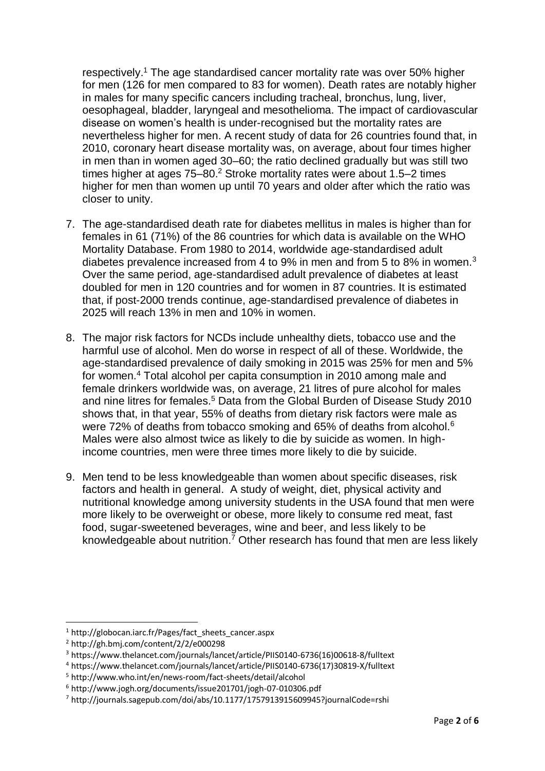respectively.<sup>1</sup> The age standardised cancer mortality rate was over 50% higher for men (126 for men compared to 83 for women). Death rates are notably higher in males for many specific cancers including tracheal, bronchus, lung, liver, oesophageal, bladder, laryngeal and mesothelioma. The impact of cardiovascular disease on women's health is under-recognised but the mortality rates are nevertheless higher for men. A recent study of data for 26 countries found that, in 2010, coronary heart disease mortality was, on average, about four times higher in men than in women aged 30–60; the ratio declined gradually but was still two times higher at ages 75–80.<sup>2</sup> Stroke mortality rates were about 1.5–2 times higher for men than women up until 70 years and older after which the ratio was closer to unity.

- 7. The age-standardised death rate for diabetes mellitus in males is higher than for females in 61 (71%) of the 86 countries for which data is available on the WHO Mortality Database. From 1980 to 2014, worldwide age-standardised adult diabetes prevalence increased from 4 to 9% in men and from 5 to 8% in women.<sup>3</sup> Over the same period, age-standardised adult prevalence of diabetes at least doubled for men in 120 countries and for women in 87 countries. It is estimated that, if post-2000 trends continue, age-standardised prevalence of diabetes in 2025 will reach 13% in men and 10% in women.
- 8. The major risk factors for NCDs include unhealthy diets, tobacco use and the harmful use of alcohol. Men do worse in respect of all of these. Worldwide, the age-standardised prevalence of daily smoking in 2015 was 25% for men and 5% for women.<sup>4</sup> Total alcohol per capita consumption in 2010 among male and female drinkers worldwide was, on average, 21 litres of pure alcohol for males and nine litres for females.<sup>5</sup> Data from the Global Burden of Disease Study 2010 shows that, in that year, 55% of deaths from dietary risk factors were male as were 72% of deaths from tobacco smoking and 65% of deaths from alcohol.<sup>6</sup> Males were also almost twice as likely to die by suicide as women. In highincome countries, men were three times more likely to die by suicide.
- 9. Men tend to be less knowledgeable than women about specific diseases, risk factors and health in general. A study of weight, diet, physical activity and nutritional knowledge among university students in the USA found that men were more likely to be overweight or obese, more likely to consume red meat, fast food, sugar-sweetened beverages, wine and beer, and less likely to be knowledgeable about nutrition.<sup>7</sup> Other research has found that men are less likely

1

<sup>&</sup>lt;sup>1</sup> http://globocan.iarc.fr/Pages/fact\_sheets\_cancer.aspx

 $<sup>2</sup>$  http://gh.bmj.com/content/2/2/e000298</sup>

<sup>3</sup> https://www.thelancet.com/journals/lancet/article/PIIS0140-6736(16)00618-8/fulltext

<sup>4</sup> https://www.thelancet.com/journals/lancet/article/PIIS0140-6736(17)30819-X/fulltext

<sup>5</sup> http://www.who.int/en/news-room/fact-sheets/detail/alcohol

<sup>6</sup> http://www.jogh.org/documents/issue201701/jogh-07-010306.pdf

<sup>7</sup> http://journals.sagepub.com/doi/abs/10.1177/1757913915609945?journalCode=rshi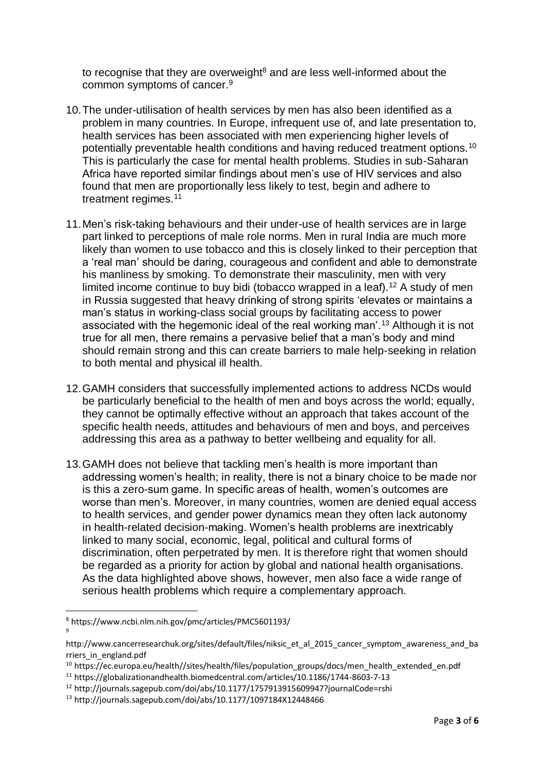to recognise that they are overweight $8$  and are less well-informed about the common symptoms of cancer.<sup>9</sup>

- 10.The under-utilisation of health services by men has also been identified as a problem in many countries. In Europe, infrequent use of, and late presentation to, health services has been associated with men experiencing higher levels of potentially preventable health conditions and having reduced treatment options.<sup>10</sup> This is particularly the case for mental health problems. Studies in sub-Saharan Africa have reported similar findings about men's use of HIV services and also found that men are proportionally less likely to test, begin and adhere to treatment regimes.<sup>11</sup>
- 11.Men's risk-taking behaviours and their under-use of health services are in large part linked to perceptions of male role norms. Men in rural India are much more likely than women to use tobacco and this is closely linked to their perception that a 'real man' should be daring, courageous and confident and able to demonstrate his manliness by smoking. To demonstrate their masculinity, men with very limited income continue to buy bidi (tobacco wrapped in a leaf).<sup>12</sup> A study of men in Russia suggested that heavy drinking of strong spirits 'elevates or maintains a man's status in working-class social groups by facilitating access to power associated with the hegemonic ideal of the real working man'.<sup>13</sup> Although it is not true for all men, there remains a pervasive belief that a man's body and mind should remain strong and this can create barriers to male help-seeking in relation to both mental and physical ill health.
- 12.GAMH considers that successfully implemented actions to address NCDs would be particularly beneficial to the health of men and boys across the world; equally, they cannot be optimally effective without an approach that takes account of the specific health needs, attitudes and behaviours of men and boys, and perceives addressing this area as a pathway to better wellbeing and equality for all.
- 13.GAMH does not believe that tackling men's health is more important than addressing women's health; in reality, there is not a binary choice to be made nor is this a zero-sum game. In specific areas of health, women's outcomes are worse than men's. Moreover, in many countries, women are denied equal access to health services, and gender power dynamics mean they often lack autonomy in health-related decision-making. Women's health problems are inextricably linked to many social, economic, legal, political and cultural forms of discrimination, often perpetrated by men. It is therefore right that women should be regarded as a priority for action by global and national health organisations. As the data highlighted above shows, however, men also face a wide range of serious health problems which require a complementary approach.

-

9

<sup>8</sup> https://www.ncbi.nlm.nih.gov/pmc/articles/PMC5601193/

http://www.cancerresearchuk.org/sites/default/files/niksic\_et\_al\_2015\_cancer\_symptom\_awareness\_and\_ba rriers in england.pdf

<sup>&</sup>lt;sup>10</sup> https://ec.europa.eu/health//sites/health/files/population\_groups/docs/men\_health\_extended\_en.pdf

<sup>11</sup> https://globalizationandhealth.biomedcentral.com/articles/10.1186/1744-8603-7-13

<sup>12</sup> http://journals.sagepub.com/doi/abs/10.1177/1757913915609947?journalCode=rshi

<sup>13</sup> http://journals.sagepub.com/doi/abs/10.1177/1097184X12448466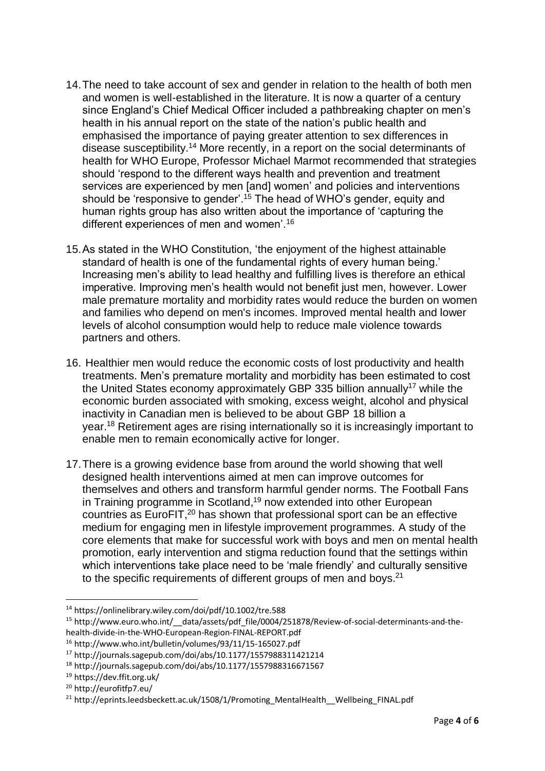- 14.The need to take account of sex and gender in relation to the health of both men and women is well-established in the literature. It is now a quarter of a century since England's Chief Medical Officer included a pathbreaking chapter on men's health in his annual report on the state of the nation's public health and emphasised the importance of paying greater attention to sex differences in disease susceptibility. <sup>14</sup> More recently, in a report on the social determinants of health for WHO Europe, Professor Michael Marmot recommended that strategies should 'respond to the different ways health and prevention and treatment services are experienced by men [and] women' and policies and interventions should be 'responsive to gender'.<sup>15</sup> The head of WHO's gender, equity and human rights group has also written about the importance of 'capturing the different experiences of men and women'.<sup>16</sup>
- 15.As stated in the WHO Constitution, 'the enjoyment of the highest attainable standard of health is one of the fundamental rights of every human being.' Increasing men's ability to lead healthy and fulfilling lives is therefore an ethical imperative. Improving men's health would not benefit just men, however. Lower male premature mortality and morbidity rates would reduce the burden on women and families who depend on men's incomes. Improved mental health and lower levels of alcohol consumption would help to reduce male violence towards partners and others.
- 16. Healthier men would reduce the economic costs of lost productivity and health treatments. Men's premature mortality and morbidity has been estimated to cost the United States economy approximately GBP 335 billion annually<sup>17</sup> while the economic burden associated with smoking, excess weight, alcohol and physical inactivity in Canadian men is believed to be about GBP 18 billion a year.<sup>18</sup> Retirement ages are rising internationally so it is increasingly important to enable men to remain economically active for longer.
- 17.There is a growing evidence base from around the world showing that well designed health interventions aimed at men can improve outcomes for themselves and others and transform harmful gender norms. The Football Fans in Training programme in Scotland, <sup>19</sup> now extended into other European countries as EuroFIT,<sup>20</sup> has shown that professional sport can be an effective medium for engaging men in lifestyle improvement programmes. A study of the core elements that make for successful work with boys and men on mental health promotion, early intervention and stigma reduction found that the settings within which interventions take place need to be 'male friendly' and culturally sensitive to the specific requirements of different groups of men and boys.<sup>21</sup>

**<sup>.</sup>** <sup>14</sup> https://onlinelibrary.wiley.com/doi/pdf/10.1002/tre.588

<sup>15</sup> http://www.euro.who.int/\_\_data/assets/pdf\_file/0004/251878/Review-of-social-determinants-and-thehealth-divide-in-the-WHO-European-Region-FINAL-REPORT.pdf

<sup>16</sup> http://www.who.int/bulletin/volumes/93/11/15-165027.pdf

<sup>17</sup> http://journals.sagepub.com/doi/abs/10.1177/1557988311421214

<sup>18</sup> http://journals.sagepub.com/doi/abs/10.1177/1557988316671567

<sup>19</sup> https://dev.ffit.org.uk/

<sup>20</sup> http://eurofitfp7.eu/

<sup>21</sup> http://eprints.leedsbeckett.ac.uk/1508/1/Promoting\_MentalHealth\_\_Wellbeing\_FINAL.pdf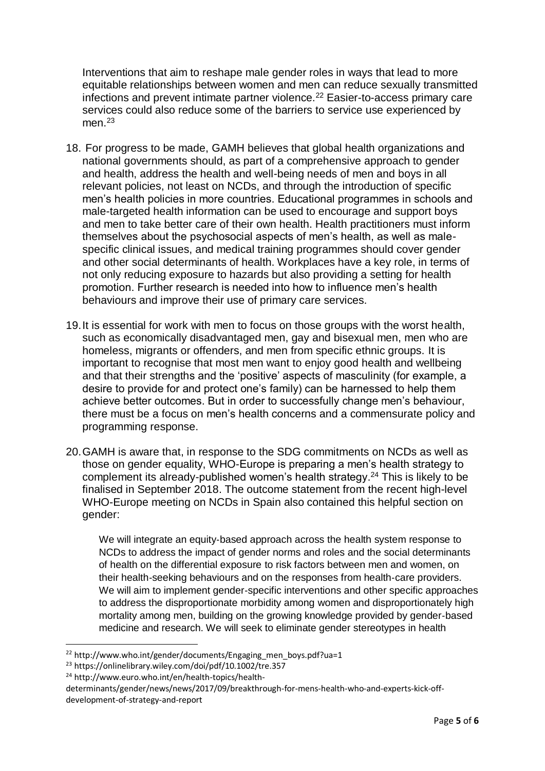Interventions that aim to reshape male gender roles in ways that lead to more equitable relationships between women and men can reduce sexually transmitted infections and prevent intimate partner violence.<sup>22</sup> Easier-to-access primary care services could also reduce some of the barriers to service use experienced by men $23$ 

- 18. For progress to be made, GAMH believes that global health organizations and national governments should, as part of a comprehensive approach to gender and health, address the health and well-being needs of men and boys in all relevant policies, not least on NCDs, and through the introduction of specific men's health policies in more countries. Educational programmes in schools and male-targeted health information can be used to encourage and support boys and men to take better care of their own health. Health practitioners must inform themselves about the psychosocial aspects of men's health, as well as malespecific clinical issues, and medical training programmes should cover gender and other social determinants of health. Workplaces have a key role, in terms of not only reducing exposure to hazards but also providing a setting for health promotion. Further research is needed into how to influence men's health behaviours and improve their use of primary care services.
- 19.It is essential for work with men to focus on those groups with the worst health, such as economically disadvantaged men, gay and bisexual men, men who are homeless, migrants or offenders, and men from specific ethnic groups. It is important to recognise that most men want to enjoy good health and wellbeing and that their strengths and the 'positive' aspects of masculinity (for example, a desire to provide for and protect one's family) can be harnessed to help them achieve better outcomes. But in order to successfully change men's behaviour, there must be a focus on men's health concerns and a commensurate policy and programming response.
- 20.GAMH is aware that, in response to the SDG commitments on NCDs as well as those on gender equality, WHO-Europe is preparing a men's health strategy to complement its already-published women's health strategy.<sup>24</sup> This is likely to be finalised in September 2018. The outcome statement from the recent high-level WHO-Europe meeting on NCDs in Spain also contained this helpful section on gender:

We will integrate an equity-based approach across the health system response to NCDs to address the impact of gender norms and roles and the social determinants of health on the differential exposure to risk factors between men and women, on their health‐seeking behaviours and on the responses from health‐care providers. We will aim to implement gender-specific interventions and other specific approaches to address the disproportionate morbidity among women and disproportionately high mortality among men, building on the growing knowledge provided by gender‐based medicine and research. We will seek to eliminate gender stereotypes in health

-

 $22$  http://www.who.int/gender/documents/Engaging men\_boys.pdf?ua=1

<sup>23</sup> https://onlinelibrary.wiley.com/doi/pdf/10.1002/tre.357

<sup>24</sup> http://www.euro.who.int/en/health-topics/health-

determinants/gender/news/news/2017/09/breakthrough-for-mens-health-who-and-experts-kick-offdevelopment-of-strategy-and-report